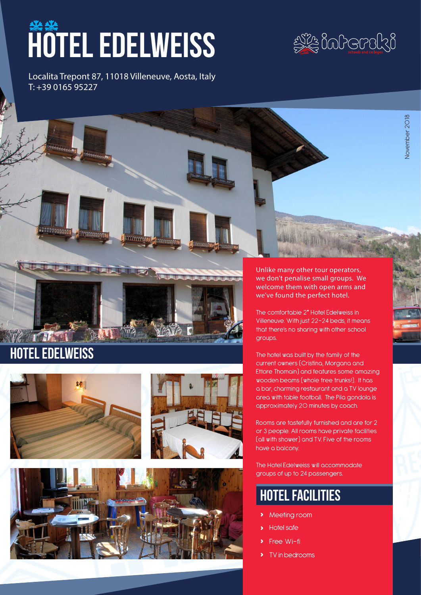# hotel EDELWEISS

Localita Trepont 87, 11018 Villeneuve, Aosta, Italy T: +39 0165 95227



November 2018

November 2018



# Hotel EDELWEISS







Unlike many other tour operators, we don't penalise small groups. We welcome them with open arms and we've found the perfect hotel.

The comfortable 2\* Hotel Edelweiss in Villeneuve. With just 22-24 beds, it means that there's no sharing with other school groups.

The hotel was built by the family of the current owners (Cristina, Morgana and Ettore Thomain) and features some amazing wooden beams (whole tree trunks!). It has a bar, charming restaurant and a TV lounge area with table football. The Pila gondola is approximately 20 minutes by coach.

Rooms are tastefully furnished and are for 2 or 3 people. All rooms have private facilities (all with shower) and TV. Five of the rooms have a balcony.

The Hotel Edelweiss will accommodate groups of up to 24 passengers.

# hotel facilities

- **›** Meeting room
- **›** Hotel safe
- **Free Wi-fi**
- **›** TV in bedrooms